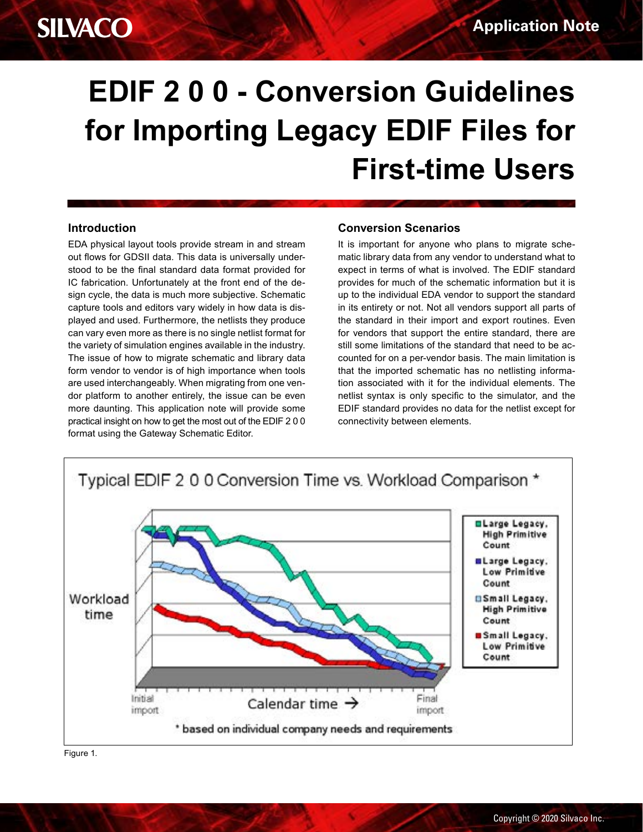## **SILVACO**

# **EDIF 2 0 0 - Conversion Guidelines for Importing Legacy EDIF Files for First-time Users**

#### **Introduction**

EDA physical layout tools provide stream in and stream out flows for GDSII data. This data is universally understood to be the final standard data format provided for IC fabrication. Unfortunately at the front end of the design cycle, the data is much more subjective. Schematic capture tools and editors vary widely in how data is displayed and used. Furthermore, the netlists they produce can vary even more as there is no single netlist format for the variety of simulation engines available in the industry. The issue of how to migrate schematic and library data form vendor to vendor is of high importance when tools are used interchangeably. When migrating from one vendor platform to another entirely, the issue can be even more daunting. This application note will provide some practical insight on how to get the most out of the EDIF 2 0 0 format using the Gateway Schematic Editor.

#### **Conversion Scenarios**

It is important for anyone who plans to migrate schematic library data from any vendor to understand what to expect in terms of what is involved. The EDIF standard provides for much of the schematic information but it is up to the individual EDA vendor to support the standard in its entirety or not. Not all vendors support all parts of the standard in their import and export routines. Even for vendors that support the entire standard, there are still some limitations of the standard that need to be accounted for on a per-vendor basis. The main limitation is that the imported schematic has no netlisting information associated with it for the individual elements. The netlist syntax is only specific to the simulator, and the EDIF standard provides no data for the netlist except for connectivity between elements.